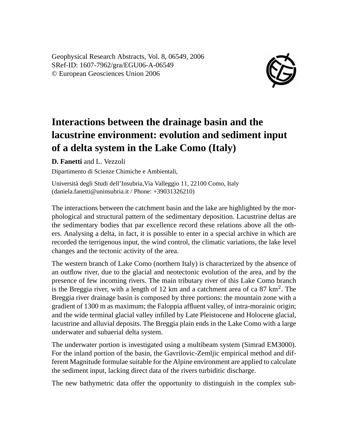Geophysical Research Abstracts, Vol. 8, 06549, 2006 SRef-ID: 1607-7962/gra/EGU06-A-06549 © European Geosciences Union 2006



## **Interactions between the drainage basin and the lacustrine environment: evolution and sediment input of a delta system in the Lake Como (Italy)**

**D. Fanetti** and L. Vezzoli

Dipartimento di Scienze Chimiche e Ambientali,

Università degli Studi dell'Insubria,Via Valleggio 11, 22100 Como, Italy (daniela.fanetti@uninsubria.it / Phone: +39031326210)

The interactions between the catchment basin and the lake are highlighted by the morphological and structural pattern of the sedimentary deposition. Lacustrine deltas are the sedimentary bodies that par excellence record these relations above all the others. Analysing a delta, in fact, it is possible to enter in a special archive in which are recorded the terrigenous input, the wind control, the climatic variations, the lake level changes and the tectonic activity of the area.

The western branch of Lake Como (northern Italy) is characterized by the absence of an outflow river, due to the glacial and neotectonic evolution of the area, and by the presence of few incoming rivers. The main tributary river of this Lake Como branch is the Breggia river, with a length of  $12 \text{ km}$  and a catchment area of ca  $87 \text{ km}^2$ . The Breggia river drainage basin is composed by three portions: the mountain zone with a gradient of 1300 m as maximum; the Faloppia affluent valley, of intra-morainic origin; and the wide terminal glacial valley infilled by Late Pleistocene and Holocene glacial, lacustrine and alluvial deposits. The Breggia plain ends in the Lake Como with a large underwater and subaerial delta system.

The underwater portion is investigated using a multibeam system (Simrad EM3000). For the inland portion of the basin, the Gavrilovic-Zemljic empirical method and different Magnitude formulae suitable for the Alpine environment are applied to calculate the sediment input, lacking direct data of the rivers turbiditic discharge.

The new bathymetric data offer the opportunity to distinguish in the complex sub-